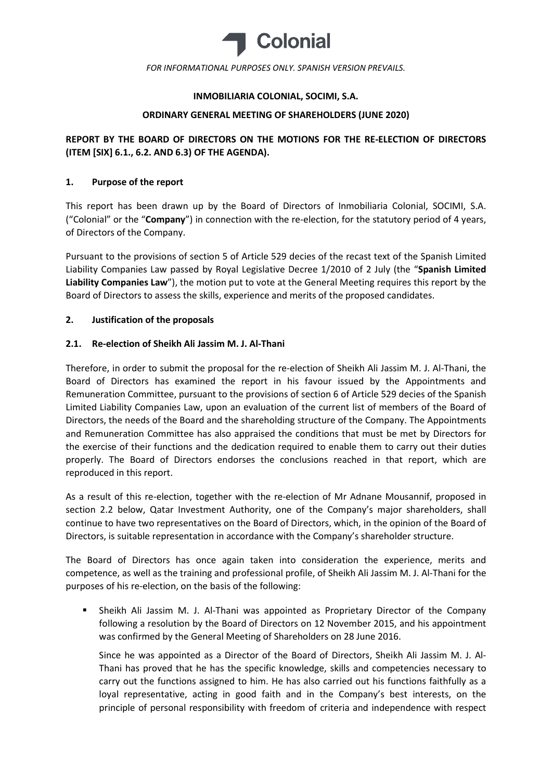

### INMOBILIARIA COLONIAL, SOCIMI, S.A.

### ORDINARY GENERAL MEETING OF SHAREHOLDERS (JUNE 2020)

# REPORT BY THE BOARD OF DIRECTORS ON THE MOTIONS FOR THE RE-ELECTION OF DIRECTORS (ITEM [SIX] 6.1., 6.2. AND 6.3) OF THE AGENDA).

### 1. Purpose of the report

This report has been drawn up by the Board of Directors of Inmobiliaria Colonial, SOCIMI, S.A. ("Colonial" or the "Company") in connection with the re-election, for the statutory period of 4 years, of Directors of the Company.

Pursuant to the provisions of section 5 of Article 529 decies of the recast text of the Spanish Limited Liability Companies Law passed by Royal Legislative Decree 1/2010 of 2 July (the "Spanish Limited Liability Companies Law"), the motion put to vote at the General Meeting requires this report by the Board of Directors to assess the skills, experience and merits of the proposed candidates.

### 2. Justification of the proposals

### 2.1. Re-election of Sheikh Ali Jassim M. J. Al-Thani

Therefore, in order to submit the proposal for the re-election of Sheikh Ali Jassim M. J. Al-Thani, the Board of Directors has examined the report in his favour issued by the Appointments and Remuneration Committee, pursuant to the provisions of section 6 of Article 529 decies of the Spanish Limited Liability Companies Law, upon an evaluation of the current list of members of the Board of Directors, the needs of the Board and the shareholding structure of the Company. The Appointments and Remuneration Committee has also appraised the conditions that must be met by Directors for the exercise of their functions and the dedication required to enable them to carry out their duties properly. The Board of Directors endorses the conclusions reached in that report, which are reproduced in this report.

As a result of this re-election, together with the re-election of Mr Adnane Mousannif, proposed in section 2.2 below, Qatar Investment Authority, one of the Company's major shareholders, shall continue to have two representatives on the Board of Directors, which, in the opinion of the Board of Directors, is suitable representation in accordance with the Company's shareholder structure.

The Board of Directors has once again taken into consideration the experience, merits and competence, as well as the training and professional profile, of Sheikh Ali Jassim M. J. Al-Thani for the purposes of his re-election, on the basis of the following:

 Sheikh Ali Jassim M. J. Al-Thani was appointed as Proprietary Director of the Company following a resolution by the Board of Directors on 12 November 2015, and his appointment was confirmed by the General Meeting of Shareholders on 28 June 2016.

Since he was appointed as a Director of the Board of Directors, Sheikh Ali Jassim M. J. Al-Thani has proved that he has the specific knowledge, skills and competencies necessary to carry out the functions assigned to him. He has also carried out his functions faithfully as a loyal representative, acting in good faith and in the Company's best interests, on the principle of personal responsibility with freedom of criteria and independence with respect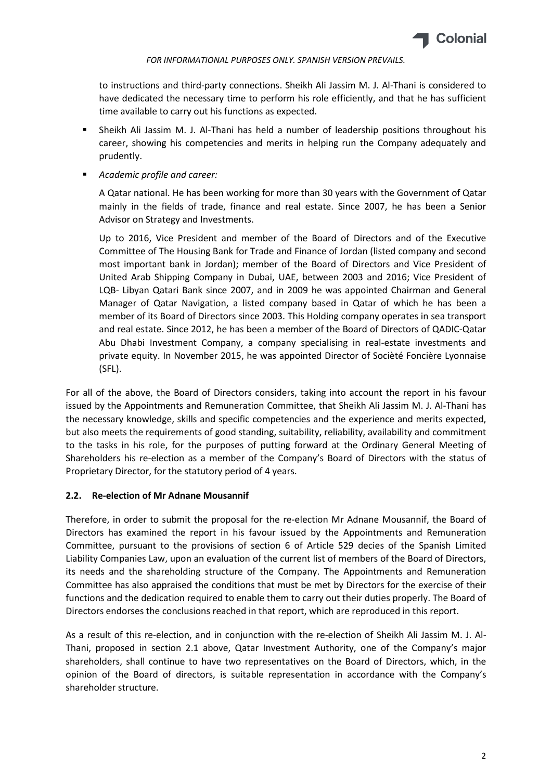

to instructions and third-party connections. Sheikh Ali Jassim M. J. Al-Thani is considered to have dedicated the necessary time to perform his role efficiently, and that he has sufficient time available to carry out his functions as expected.

- Sheikh Ali Jassim M. J. Al-Thani has held a number of leadership positions throughout his career, showing his competencies and merits in helping run the Company adequately and prudently.
- Academic profile and career:

A Qatar national. He has been working for more than 30 years with the Government of Qatar mainly in the fields of trade, finance and real estate. Since 2007, he has been a Senior Advisor on Strategy and Investments.

Up to 2016, Vice President and member of the Board of Directors and of the Executive Committee of The Housing Bank for Trade and Finance of Jordan (listed company and second most important bank in Jordan); member of the Board of Directors and Vice President of United Arab Shipping Company in Dubai, UAE, between 2003 and 2016; Vice President of LQB- Libyan Qatari Bank since 2007, and in 2009 he was appointed Chairman and General Manager of Qatar Navigation, a listed company based in Qatar of which he has been a member of its Board of Directors since 2003. This Holding company operates in sea transport and real estate. Since 2012, he has been a member of the Board of Directors of QADIC-Qatar Abu Dhabi Investment Company, a company specialising in real-estate investments and private equity. In November 2015, he was appointed Director of Socièté Foncière Lyonnaise (SFL).

For all of the above, the Board of Directors considers, taking into account the report in his favour issued by the Appointments and Remuneration Committee, that Sheikh Ali Jassim M. J. Al-Thani has the necessary knowledge, skills and specific competencies and the experience and merits expected, but also meets the requirements of good standing, suitability, reliability, availability and commitment to the tasks in his role, for the purposes of putting forward at the Ordinary General Meeting of Shareholders his re-election as a member of the Company's Board of Directors with the status of Proprietary Director, for the statutory period of 4 years.

### 2.2. Re-election of Mr Adnane Mousannif

Therefore, in order to submit the proposal for the re-election Mr Adnane Mousannif, the Board of Directors has examined the report in his favour issued by the Appointments and Remuneration Committee, pursuant to the provisions of section 6 of Article 529 decies of the Spanish Limited Liability Companies Law, upon an evaluation of the current list of members of the Board of Directors, its needs and the shareholding structure of the Company. The Appointments and Remuneration Committee has also appraised the conditions that must be met by Directors for the exercise of their functions and the dedication required to enable them to carry out their duties properly. The Board of Directors endorses the conclusions reached in that report, which are reproduced in this report.

As a result of this re-election, and in conjunction with the re-election of Sheikh Ali Jassim M. J. Al-Thani, proposed in section 2.1 above, Qatar Investment Authority, one of the Company's major shareholders, shall continue to have two representatives on the Board of Directors, which, in the opinion of the Board of directors, is suitable representation in accordance with the Company's shareholder structure.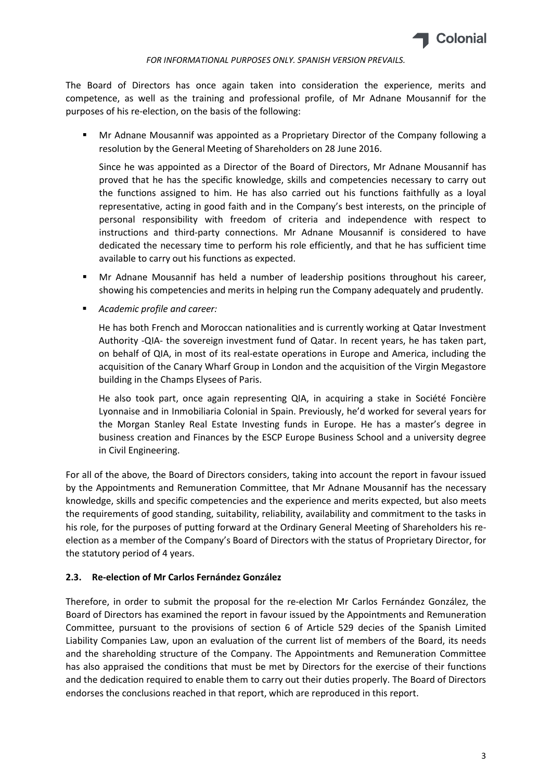

The Board of Directors has once again taken into consideration the experience, merits and competence, as well as the training and professional profile, of Mr Adnane Mousannif for the purposes of his re-election, on the basis of the following:

 Mr Adnane Mousannif was appointed as a Proprietary Director of the Company following a resolution by the General Meeting of Shareholders on 28 June 2016.

Since he was appointed as a Director of the Board of Directors, Mr Adnane Mousannif has proved that he has the specific knowledge, skills and competencies necessary to carry out the functions assigned to him. He has also carried out his functions faithfully as a loyal representative, acting in good faith and in the Company's best interests, on the principle of personal responsibility with freedom of criteria and independence with respect to instructions and third-party connections. Mr Adnane Mousannif is considered to have dedicated the necessary time to perform his role efficiently, and that he has sufficient time available to carry out his functions as expected.

- Mr Adnane Mousannif has held a number of leadership positions throughout his career, showing his competencies and merits in helping run the Company adequately and prudently.
- Academic profile and career:

He has both French and Moroccan nationalities and is currently working at Qatar Investment Authority -QIA- the sovereign investment fund of Qatar. In recent years, he has taken part, on behalf of QIA, in most of its real-estate operations in Europe and America, including the acquisition of the Canary Wharf Group in London and the acquisition of the Virgin Megastore building in the Champs Elysees of Paris.

He also took part, once again representing QIA, in acquiring a stake in Société Foncière Lyonnaise and in Inmobiliaria Colonial in Spain. Previously, he'd worked for several years for the Morgan Stanley Real Estate Investing funds in Europe. He has a master's degree in business creation and Finances by the ESCP Europe Business School and a university degree in Civil Engineering.

For all of the above, the Board of Directors considers, taking into account the report in favour issued by the Appointments and Remuneration Committee, that Mr Adnane Mousannif has the necessary knowledge, skills and specific competencies and the experience and merits expected, but also meets the requirements of good standing, suitability, reliability, availability and commitment to the tasks in his role, for the purposes of putting forward at the Ordinary General Meeting of Shareholders his reelection as a member of the Company's Board of Directors with the status of Proprietary Director, for the statutory period of 4 years.

### 2.3. Re-election of Mr Carlos Fernández González

Therefore, in order to submit the proposal for the re-election Mr Carlos Fernández González, the Board of Directors has examined the report in favour issued by the Appointments and Remuneration Committee, pursuant to the provisions of section 6 of Article 529 decies of the Spanish Limited Liability Companies Law, upon an evaluation of the current list of members of the Board, its needs and the shareholding structure of the Company. The Appointments and Remuneration Committee has also appraised the conditions that must be met by Directors for the exercise of their functions and the dedication required to enable them to carry out their duties properly. The Board of Directors endorses the conclusions reached in that report, which are reproduced in this report.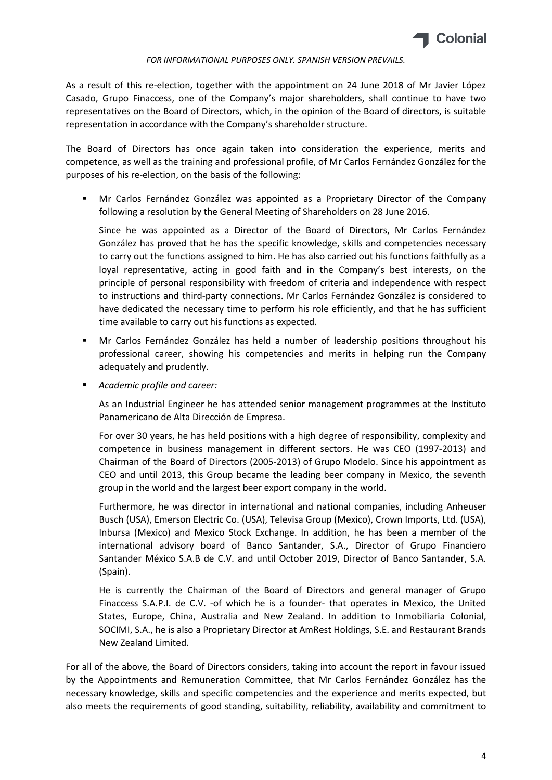

As a result of this re-election, together with the appointment on 24 June 2018 of Mr Javier López Casado, Grupo Finaccess, one of the Company's major shareholders, shall continue to have two representatives on the Board of Directors, which, in the opinion of the Board of directors, is suitable representation in accordance with the Company's shareholder structure.

The Board of Directors has once again taken into consideration the experience, merits and competence, as well as the training and professional profile, of Mr Carlos Fernández González for the purposes of his re-election, on the basis of the following:

 Mr Carlos Fernández González was appointed as a Proprietary Director of the Company following a resolution by the General Meeting of Shareholders on 28 June 2016.

Since he was appointed as a Director of the Board of Directors, Mr Carlos Fernández González has proved that he has the specific knowledge, skills and competencies necessary to carry out the functions assigned to him. He has also carried out his functions faithfully as a loyal representative, acting in good faith and in the Company's best interests, on the principle of personal responsibility with freedom of criteria and independence with respect to instructions and third-party connections. Mr Carlos Fernández González is considered to have dedicated the necessary time to perform his role efficiently, and that he has sufficient time available to carry out his functions as expected.

- Mr Carlos Fernández González has held a number of leadership positions throughout his professional career, showing his competencies and merits in helping run the Company adequately and prudently.
- Academic profile and career:

As an Industrial Engineer he has attended senior management programmes at the Instituto Panamericano de Alta Dirección de Empresa.

For over 30 years, he has held positions with a high degree of responsibility, complexity and competence in business management in different sectors. He was CEO (1997-2013) and Chairman of the Board of Directors (2005-2013) of Grupo Modelo. Since his appointment as CEO and until 2013, this Group became the leading beer company in Mexico, the seventh group in the world and the largest beer export company in the world.

Furthermore, he was director in international and national companies, including Anheuser Busch (USA), Emerson Electric Co. (USA), Televisa Group (Mexico), Crown Imports, Ltd. (USA), Inbursa (Mexico) and Mexico Stock Exchange. In addition, he has been a member of the international advisory board of Banco Santander, S.A., Director of Grupo Financiero Santander México S.A.B de C.V. and until October 2019, Director of Banco Santander, S.A. (Spain).

He is currently the Chairman of the Board of Directors and general manager of Grupo Finaccess S.A.P.I. de C.V. -of which he is a founder- that operates in Mexico, the United States, Europe, China, Australia and New Zealand. In addition to Inmobiliaria Colonial, SOCIMI, S.A., he is also a Proprietary Director at AmRest Holdings, S.E. and Restaurant Brands New Zealand Limited.

For all of the above, the Board of Directors considers, taking into account the report in favour issued by the Appointments and Remuneration Committee, that Mr Carlos Fernández González has the necessary knowledge, skills and specific competencies and the experience and merits expected, but also meets the requirements of good standing, suitability, reliability, availability and commitment to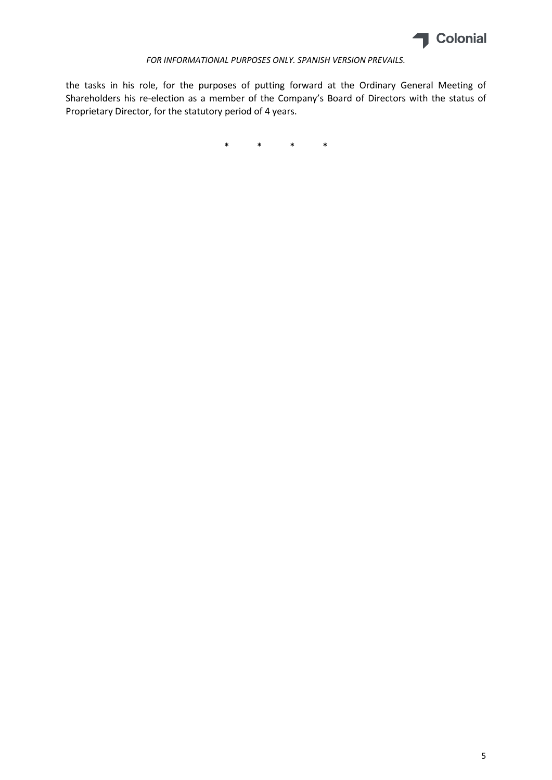

the tasks in his role, for the purposes of putting forward at the Ordinary General Meeting of Shareholders his re-election as a member of the Company's Board of Directors with the status of Proprietary Director, for the statutory period of 4 years.

\* \* \* \*